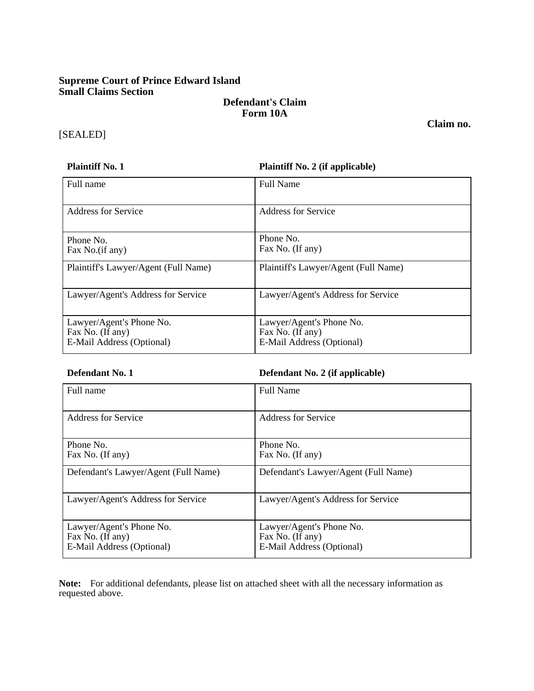# **Supreme Court of Prince Edward Island Small Claims Section**

# **Defendant's Claim Form 10A**

# [SEALED]

#### **Plaintiff No. 1 Plaintiff No. 2 (if applicable)**

| Full name                                                                 | <b>Full Name</b>                                                          |  |
|---------------------------------------------------------------------------|---------------------------------------------------------------------------|--|
| <b>Address for Service</b>                                                | <b>Address for Service</b>                                                |  |
| Phone No.<br>Fax No.(if any)                                              | Phone No.<br>Fax No. (If any)                                             |  |
| Plaintiff's Lawyer/Agent (Full Name)                                      | Plaintiff's Lawyer/Agent (Full Name)                                      |  |
| Lawyer/Agent's Address for Service                                        | Lawyer/Agent's Address for Service                                        |  |
| Lawyer/Agent's Phone No.<br>Fax No. (If any)<br>E-Mail Address (Optional) | Lawyer/Agent's Phone No.<br>Fax No. (If any)<br>E-Mail Address (Optional) |  |

# **Defendant No. 1 Defendant No. 2 (if applicable)**

| Full name                                                                 | <b>Full Name</b>                                                          |
|---------------------------------------------------------------------------|---------------------------------------------------------------------------|
| Address for Service                                                       | Address for Service                                                       |
| Phone No.<br>Fax No. (If any)                                             | Phone No.<br>Fax No. (If any)                                             |
| Defendant's Lawyer/Agent (Full Name)                                      | Defendant's Lawyer/Agent (Full Name)                                      |
| Lawyer/Agent's Address for Service                                        | Lawyer/Agent's Address for Service                                        |
| Lawyer/Agent's Phone No.<br>Fax No. (If any)<br>E-Mail Address (Optional) | Lawyer/Agent's Phone No.<br>Fax No. (If any)<br>E-Mail Address (Optional) |

**Note:** For additional defendants, please list on attached sheet with all the necessary information as requested above.

**Claim no.**